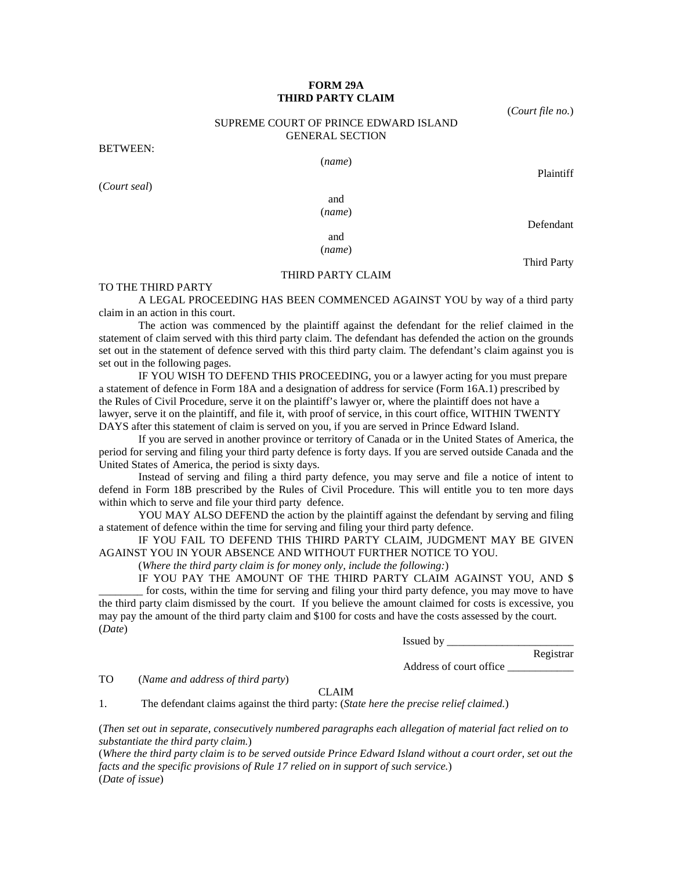## **FORM 29A THIRD PARTY CLAIM**

(*Court file no.*)

## SUPREME COURT OF PRINCE EDWARD ISLAND GENERAL SECTION

BETWEEN:

(*name*)

(*Court seal*)

Plaintiff

and (*name*)

Defendant

and (*name*)

Third Party

## THIRD PARTY CLAIM

TO THE THIRD PARTY

A LEGAL PROCEEDING HAS BEEN COMMENCED AGAINST YOU by way of a third party claim in an action in this court.

The action was commenced by the plaintiff against the defendant for the relief claimed in the statement of claim served with this third party claim. The defendant has defended the action on the grounds set out in the statement of defence served with this third party claim. The defendant's claim against you is set out in the following pages.

IF YOU WISH TO DEFEND THIS PROCEEDING, you or a lawyer acting for you must prepare a statement of defence in Form 18A and a designation of address for service (Form 16A.1) prescribed by the Rules of Civil Procedure, serve it on the plaintiff's lawyer or, where the plaintiff does not have a lawyer, serve it on the plaintiff, and file it, with proof of service, in this court office, WITHIN TWENTY DAYS after this statement of claim is served on you, if you are served in Prince Edward Island.

If you are served in another province or territory of Canada or in the United States of America, the period for serving and filing your third party defence is forty days. If you are served outside Canada and the United States of America, the period is sixty days.

Instead of serving and filing a third party defence, you may serve and file a notice of intent to defend in Form 18B prescribed by the Rules of Civil Procedure. This will entitle you to ten more days within which to serve and file your third party defence.

YOU MAY ALSO DEFEND the action by the plaintiff against the defendant by serving and filing a statement of defence within the time for serving and filing your third party defence.

IF YOU FAIL TO DEFEND THIS THIRD PARTY CLAIM, JUDGMENT MAY BE GIVEN AGAINST YOU IN YOUR ABSENCE AND WITHOUT FURTHER NOTICE TO YOU.

(*Where the third party claim is for money only, include the following:*)

IF YOU PAY THE AMOUNT OF THE THIRD PARTY CLAIM AGAINST YOU, AND \$ for costs, within the time for serving and filing your third party defence, you may move to have the third party claim dismissed by the court. If you believe the amount claimed for costs is excessive, you may pay the amount of the third party claim and \$100 for costs and have the costs assessed by the court. (*Date*)

Issued by \_\_\_\_\_\_\_\_\_\_\_\_\_\_\_\_\_\_\_\_\_\_\_

Registrar

Address of court office

TO (*Name and address of third party*)

CLAIM

1. The defendant claims against the third party: (*State here the precise relief claimed.*)

(*Then set out in separate, consecutively numbered paragraphs each allegation of material fact relied on to substantiate the third party claim.*)

(*Where the third party claim is to be served outside Prince Edward Island without a court order, set out the facts and the specific provisions of Rule 17 relied on in support of such service.*) (*Date of issue*)